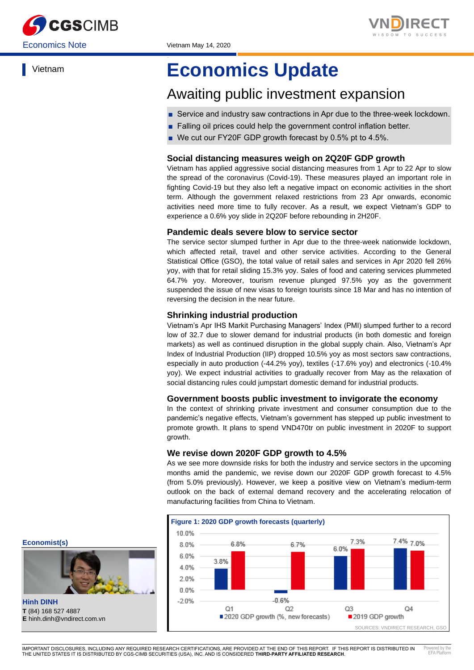



Vietnam

# **Economics Update**

## Awaiting public investment expansion

- Service and industry saw contractions in Apr due to the three-week lockdown.
- Falling oil prices could help the government control inflation better.
- We cut our FY20F GDP growth forecast by 0.5% pt to 4.5%.

## **Social distancing measures weigh on 2Q20F GDP growth**

Vietnam has applied aggressive social distancing measures from 1 Apr to 22 Apr to slow the spread of the coronavirus (Covid-19). These measures played an important role in fighting Covid-19 but they also left a negative impact on economic activities in the short term. Although the government relaxed restrictions from 23 Apr onwards, economic activities need more time to fully recover. As a result, we expect Vietnam's GDP to experience a 0.6% yoy slide in 2Q20F before rebounding in 2H20F.

### **Pandemic deals severe blow to service sector**

The service sector slumped further in Apr due to the three-week nationwide lockdown, which affected retail, travel and other service activities. According to the General Statistical Office (GSO), the total value of retail sales and services in Apr 2020 fell 26% yoy, with that for retail sliding 15.3% yoy. Sales of food and catering services plummeted 64.7% yoy. Moreover, tourism revenue plunged 97.5% yoy as the government suspended the issue of new visas to foreign tourists since 18 Mar and has no intention of reversing the decision in the near future.

## **Shrinking industrial production**

Vietnam's Apr IHS Markit Purchasing Managers' Index (PMI) slumped further to a record low of 32.7 due to slower demand for industrial products (in both domestic and foreign markets) as well as continued disruption in the global supply chain. Also, Vietnam's Apr Index of Industrial Production (IIP) dropped 10.5% yoy as most sectors saw contractions, especially in auto production (-44.2% yoy), textiles (-17.6% yoy) and electronics (-10.4% yoy). We expect industrial activities to gradually recover from May as the relaxation of social distancing rules could jumpstart domestic demand for industrial products.

#### **Government boosts public investment to invigorate the economy**

In the context of shrinking private investment and consumer consumption due to the pandemic's negative effects, Vietnam's government has stepped up public investment to promote growth. It plans to spend VND470tr on public investment in 2020F to support growth.

#### **We revise down 2020F GDP growth to 4.5%**

As we see more downside risks for both the industry and service sectors in the upcoming months amid the pandemic, we revise down our 2020F GDP growth forecast to 4.5% (from 5.0% previously). However, we keep a positive view on Vietnam's medium-term outlook on the back of external demand recovery and the accelerating relocation of manufacturing facilities from China to Vietnam.



**Economist(s)**



**Hinh DINH T** (84) 168 527 4887 **E** hinh.dinh@vndirect.com.vn

IMPORTANT DISCLOSURES, INCLUDING ANY REQUIRED RESEARCH CERTIFICATIONS, ARE PROVIDED AT THE END OF THIS REPORT. IF THIS REPORT IS DISTRIBUTED IN THE UNITED STATES IT IS DISTRIBUTED BY CGS-CIMB SECURITIES (USA), INC. AND IS CONSIDERED **THIRD-PARTY AFFILIATED RESEARCH**. **[Add FP Header]** Powered by the EFA Platform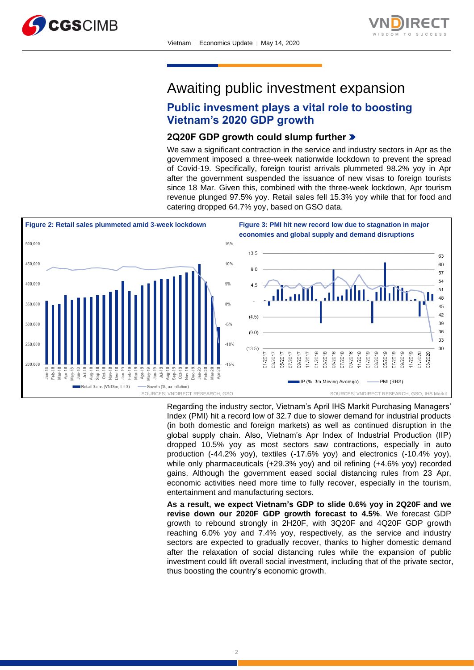



## Awaiting public investment expansion

## **Public invesment plays a vital role to boosting Vietnam's 2020 GDP growth**

## **2Q20F GDP growth could slump further**

We saw a significant contraction in the service and industry sectors in Apr as the government imposed a three-week nationwide lockdown to prevent the spread of Covid-19. Specifically, foreign tourist arrivals plummeted 98.2% yoy in Apr after the government suspended the issuance of new visas to foreign tourists since 18 Mar. Given this, combined with the three-week lockdown, Apr tourism revenue plunged 97.5% yoy. Retail sales fell 15.3% yoy while that for food and catering dropped 64.7% yoy, based on GSO data.



Regarding the industry sector, Vietnam's April IHS Markit Purchasing Managers' Index (PMI) hit a record low of 32.7 due to slower demand for industrial products (in both domestic and foreign markets) as well as continued disruption in the global supply chain. Also, Vietnam's Apr Index of Industrial Production (IIP) dropped 10.5% yoy as most sectors saw contractions, especially in auto production (-44.2% yoy), textiles (-17.6% yoy) and electronics (-10.4% yoy), while only pharmaceuticals (+29.3% yoy) and oil refining (+4.6% yoy) recorded gains. Although the government eased social distancing rules from 23 Apr, economic activities need more time to fully recover, especially in the tourism, entertainment and manufacturing sectors.

**As a result, we expect Vietnam's GDP to slide 0.6% yoy in 2Q20F and we revise down our 2020F GDP growth forecast to 4.5%**. We forecast GDP growth to rebound strongly in 2H20F, with 3Q20F and 4Q20F GDP growth reaching 6.0% yoy and 7.4% yoy, respectively, as the service and industry sectors are expected to gradually recover, thanks to higher domestic demand after the relaxation of social distancing rules while the expansion of public investment could lift overall social investment, including that of the private sector, thus boosting the country's economic growth.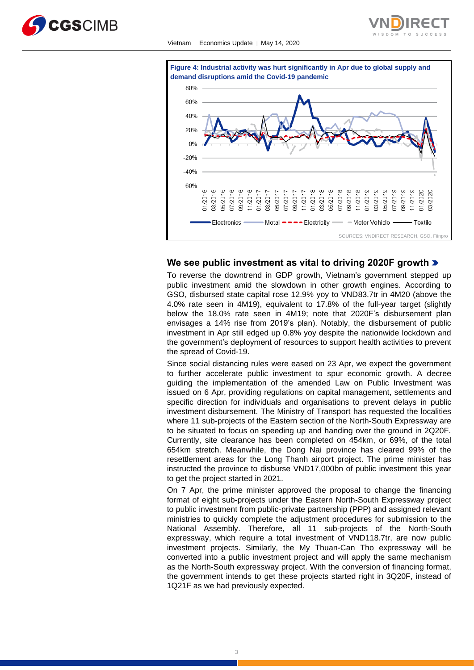







#### **We see public investment as vital to driving 2020F growth**

To reverse the downtrend in GDP growth, Vietnam's government stepped up public investment amid the slowdown in other growth engines. According to GSO, disbursed state capital rose 12.9% yoy to VND83.7tr in 4M20 (above the 4.0% rate seen in 4M19), equivalent to 17.8% of the full-year target (slightly below the 18.0% rate seen in 4M19; note that 2020F's disbursement plan envisages a 14% rise from 2019's plan). Notably, the disbursement of public investment in Apr still edged up 0.8% yoy despite the nationwide lockdown and the government's deployment of resources to support health activities to prevent the spread of Covid-19.

Since social distancing rules were eased on 23 Apr, we expect the government to further accelerate public investment to spur economic growth. A decree guiding the implementation of the amended Law on Public Investment was issued on 6 Apr, providing regulations on capital management, settlements and specific direction for individuals and organisations to prevent delays in public investment disbursement. The Ministry of Transport has requested the localities where 11 sub-projects of the Eastern section of the North-South Expressway are to be situated to focus on speeding up and handing over the ground in 2Q20F. Currently, site clearance has been completed on 454km, or 69%, of the total 654km stretch. Meanwhile, the Dong Nai province has cleared 99% of the resettlement areas for the Long Thanh airport project. The prime minister has instructed the province to disburse VND17,000bn of public investment this year to get the project started in 2021.

On 7 Apr, the prime minister approved the proposal to change the financing format of eight sub-projects under the Eastern North-South Expressway project to public investment from public-private partnership (PPP) and assigned relevant ministries to quickly complete the adjustment procedures for submission to the National Assembly. Therefore, all 11 sub-projects of the North-South expressway, which require a total investment of VND118.7tr, are now public investment projects. Similarly, the My Thuan-Can Tho expressway will be converted into a public investment project and will apply the same mechanism as the North-South expressway project. With the conversion of financing format, the government intends to get these projects started right in 3Q20F, instead of 1Q21F as we had previously expected.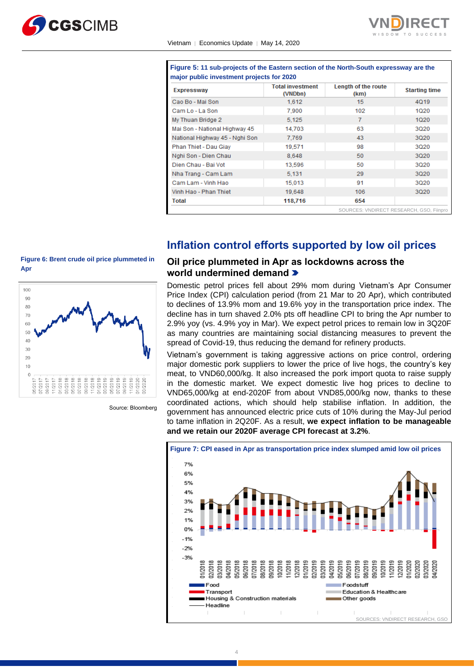



| <b>Expressway</b>              | <b>Total investment</b><br>(VNDbn) | Length of the route<br>(km) | <b>Starting time</b> |
|--------------------------------|------------------------------------|-----------------------------|----------------------|
| Cao Bo - Mai Son               | 1.612                              | 15                          | 4019                 |
| Cam Lo - La Son                | 7.900                              | 102                         | 1020                 |
| My Thuan Bridge 2              | 5.125                              | 7                           | 1020                 |
| Mai Son - National Highway 45  | 14.703                             | 63                          | 3020                 |
| National Highway 45 - Nghi Son | 7.769                              | 43                          | 3020                 |
| Phan Thiet - Dau Giay          | 19,571                             | 98                          | 3020                 |
| Nghi Son - Dien Chau           | 8.648                              | 50                          | 3Q20                 |
| Dien Chau - Bai Vot            | 13,596                             | 50                          | 3Q20                 |
| Nha Trang - Cam Lam            | 5.131                              | 29                          | 3Q20                 |
| Cam Lam - Vinh Hao             | 15,013                             | 91                          | 3020                 |
| Vinh Hao - Phan Thiet          | 19,648                             | 106                         | 3020                 |
| Total                          | 118,716                            | 654                         |                      |

**Figure 5: 11 sub-projects of the Eastern section of the North-South expressway are the** 

## **Inflation control efforts supported by low oil prices**

## **Figure 6: Brent crude oil price plummeted in Apr**



Source: Bloomberg

## **Oil price plummeted in Apr as lockdowns across the world undermined demand**

Domestic petrol prices fell about 29% mom during Vietnam's Apr Consumer Price Index (CPI) calculation period (from 21 Mar to 20 Apr), which contributed to declines of 13.9% mom and 19.6% yoy in the transportation price index. The decline has in turn shaved 2.0% pts off headline CPI to bring the Apr number to 2.9% yoy (vs. 4.9% yoy in Mar). We expect petrol prices to remain low in 3Q20F as many countries are maintaining social distancing measures to prevent the spread of Covid-19, thus reducing the demand for refinery products.

Vietnam's government is taking aggressive actions on price control, ordering major domestic pork suppliers to lower the price of live hogs, the country's key meat, to VND60,000/kg. It also increased the pork import quota to raise supply in the domestic market. We expect domestic live hog prices to decline to VND65,000/kg at end-2020F from about VND85,000/kg now, thanks to these coordinated actions, which should help stabilise inflation. In addition, the government has announced electric price cuts of 10% during the May-Jul period to tame inflation in 2Q20F. As a result, **we expect inflation to be manageable and we retain our 2020F average CPI forecast at 3.2%**.

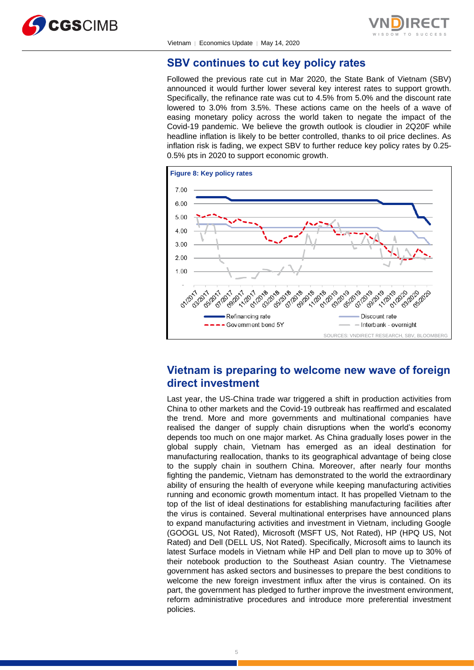



## **SBV continues to cut key policy rates**

Followed the previous rate cut in Mar 2020, the State Bank of Vietnam (SBV) announced it would further lower several key interest rates to support growth. Specifically, the refinance rate was cut to 4.5% from 5.0% and the discount rate lowered to 3.0% from 3.5%. These actions came on the heels of a wave of easing monetary policy across the world taken to negate the impact of the Covid-19 pandemic. We believe the growth outlook is cloudier in 2Q20F while headline inflation is likely to be better controlled, thanks to oil price declines. As inflation risk is fading, we expect SBV to further reduce key policy rates by 0.25- 0.5% pts in 2020 to support economic growth.



## **Vietnam is preparing to welcome new wave of foreign direct investment**

Last year, the US-China trade war triggered a shift in production activities from China to other markets and the Covid-19 outbreak has reaffirmed and escalated the trend. More and more governments and multinational companies have realised the danger of supply chain disruptions when the world's economy depends too much on one major market. As China gradually loses power in the global supply chain, Vietnam has emerged as an ideal destination for manufacturing reallocation, thanks to its geographical advantage of being close to the supply chain in southern China. Moreover, after nearly four months fighting the pandemic, Vietnam has demonstrated to the world the extraordinary ability of ensuring the health of everyone while keeping manufacturing activities running and economic growth momentum intact. It has propelled Vietnam to the top of the list of ideal destinations for establishing manufacturing facilities after the virus is contained. Several multinational enterprises have announced plans to expand manufacturing activities and investment in Vietnam, including Google (GOOGL US, Not Rated), Microsoft (MSFT US, Not Rated), HP (HPQ US, Not Rated) and Dell (DELL US, Not Rated). Specifically, Microsoft aims to launch its latest Surface models in Vietnam while HP and Dell plan to move up to 30% of their notebook production to the Southeast Asian country. The Vietnamese government has asked sectors and businesses to prepare the best conditions to welcome the new foreign investment influx after the virus is contained. On its part, the government has pledged to further improve the investment environment, reform administrative procedures and introduce more preferential investment policies.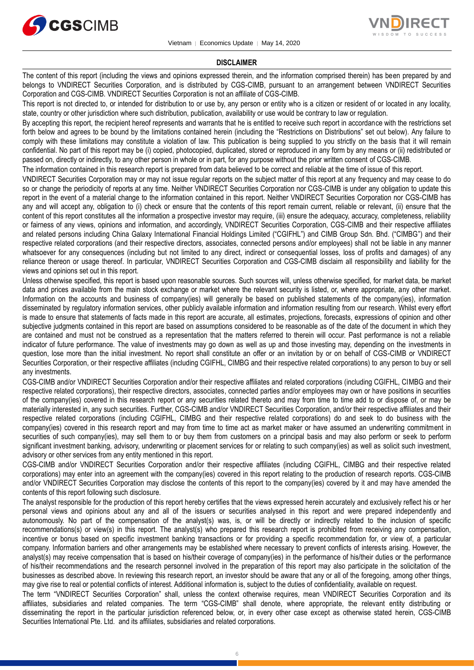



#### **DISCLAIMER**

The content of this report (including the views and opinions expressed therein, and the information comprised therein) has been prepared by and belongs to VNDIRECT Securities Corporation, and is distributed by CGS-CIMB, pursuant to an arrangement between VNDIRECT Securities Corporation and CGS-CIMB. VNDIRECT Securities Corporation is not an affiliate of CGS-CIMB.

This report is not directed to, or intended for distribution to or use by, any person or entity who is a citizen or resident of or located in any locality, state, country or other jurisdiction where such distribution, publication, availability or use would be contrary to law or regulation.

By accepting this report, the recipient hereof represents and warrants that he is entitled to receive such report in accordance with the restrictions set forth below and agrees to be bound by the limitations contained herein (including the "Restrictions on Distributions" set out below). Any failure to comply with these limitations may constitute a violation of law. This publication is being supplied to you strictly on the basis that it will remain confidential. No part of this report may be (i) copied, photocopied, duplicated, stored or reproduced in any form by any means or (ii) redistributed or passed on, directly or indirectly, to any other person in whole or in part, for any purpose without the prior written consent of CGS-CIMB.

The information contained in this research report is prepared from data believed to be correct and reliable at the time of issue of this report.

VNDIRECT Securities Corporation may or may not issue regular reports on the subject matter of this report at any frequency and may cease to do so or change the periodicity of reports at any time. Neither VNDIRECT Securities Corporation nor CGS-CIMB is under any obligation to update this report in the event of a material change to the information contained in this report. Neither VNDIRECT Securities Corporation nor CGS-CIMB has any and will accept any, obligation to (i) check or ensure that the contents of this report remain current, reliable or relevant, (ii) ensure that the content of this report constitutes all the information a prospective investor may require, (iii) ensure the adequacy, accuracy, completeness, reliability or fairness of any views, opinions and information, and accordingly, VNDIRECT Securities Corporation, CGS-CIMB and their respective affiliates and related persons including China Galaxy International Financial Holdings Limited ("CGIFHL") and CIMB Group Sdn. Bhd. ("CIMBG") and their respective related corporations (and their respective directors, associates, connected persons and/or employees) shall not be liable in any manner whatsoever for any consequences (including but not limited to any direct, indirect or consequential losses, loss of profits and damages) of any reliance thereon or usage thereof. In particular, VNDIRECT Securities Corporation and CGS-CIMB disclaim all responsibility and liability for the views and opinions set out in this report.

Unless otherwise specified, this report is based upon reasonable sources. Such sources will, unless otherwise specified, for market data, be market data and prices available from the main stock exchange or market where the relevant security is listed, or, where appropriate, any other market. Information on the accounts and business of company(ies) will generally be based on published statements of the company(ies), information disseminated by regulatory information services, other publicly available information and information resulting from our research. Whilst every effort is made to ensure that statements of facts made in this report are accurate, all estimates, projections, forecasts, expressions of opinion and other subjective judgments contained in this report are based on assumptions considered to be reasonable as of the date of the document in which they are contained and must not be construed as a representation that the matters referred to therein will occur. Past performance is not a reliable indicator of future performance. The value of investments may go down as well as up and those investing may, depending on the investments in question, lose more than the initial investment. No report shall constitute an offer or an invitation by or on behalf of CGS-CIMB or VNDIRECT Securities Corporation, or their respective affiliates (including CGIFHL, CIMBG and their respective related corporations) to any person to buy or sell any investments.

CGS-CIMB and/or VNDIRECT Securities Corporation and/or their respective affiliates and related corporations (including CGIFHL, CIMBG and their respective related corporations), their respective directors, associates, connected parties and/or employees may own or have positions in securities of the company(ies) covered in this research report or any securities related thereto and may from time to time add to or dispose of, or may be materially interested in, any such securities. Further, CGS-CIMB and/or VNDIRECT Securities Corporation, and/or their respective affiliates and their respective related corporations (including CGIFHL, CIMBG and their respective related corporations) do and seek to do business with the company(ies) covered in this research report and may from time to time act as market maker or have assumed an underwriting commitment in securities of such company(ies), may sell them to or buy them from customers on a principal basis and may also perform or seek to perform significant investment banking, advisory, underwriting or placement services for or relating to such company(ies) as well as solicit such investment, advisory or other services from any entity mentioned in this report.

CGS-CIMB and/or VNDIRECT Securities Corporation and/or their respective affiliates (including CGIFHL, CIMBG and their respective related corporations) may enter into an agreement with the company(ies) covered in this report relating to the production of research reports. CGS-CIMB and/or VNDIRECT Securities Corporation may disclose the contents of this report to the company(ies) covered by it and may have amended the contents of this report following such disclosure.

The analyst responsible for the production of this report hereby certifies that the views expressed herein accurately and exclusively reflect his or her personal views and opinions about any and all of the issuers or securities analysed in this report and were prepared independently and autonomously. No part of the compensation of the analyst(s) was, is, or will be directly or indirectly related to the inclusion of specific recommendations(s) or view(s) in this report. The analyst(s) who prepared this research report is prohibited from receiving any compensation, incentive or bonus based on specific investment banking transactions or for providing a specific recommendation for, or view of, a particular company. Information barriers and other arrangements may be established where necessary to prevent conflicts of interests arising. However, the analyst(s) may receive compensation that is based on his/their coverage of company(ies) in the performance of his/their duties or the performance of his/their recommendations and the research personnel involved in the preparation of this report may also participate in the solicitation of the businesses as described above. In reviewing this research report, an investor should be aware that any or all of the foregoing, among other things, may give rise to real or potential conflicts of interest. Additional information is, subject to the duties of confidentiality, available on request.

The term "VNDIRECT Securities Corporation" shall, unless the context otherwise requires, mean VNDIRECT Securities Corporation and its affiliates, subsidiaries and related companies. The term "CGS-CIMB" shall denote, where appropriate, the relevant entity distributing or disseminating the report in the particular jurisdiction referenced below, or, in every other case except as otherwise stated herein, CGS-CIMB Securities International Pte. Ltd. and its affiliates, subsidiaries and related corporations.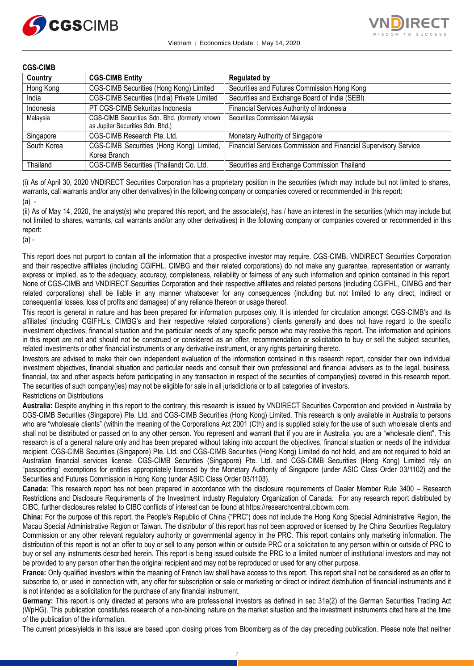



## **CGS-CIMB**

| Country     | <b>CGS-CIMB Entity</b>                                                            | <b>Regulated by</b>                                             |
|-------------|-----------------------------------------------------------------------------------|-----------------------------------------------------------------|
| Hong Kong   | CGS-CIMB Securities (Hong Kong) Limited                                           | Securities and Futures Commission Hong Kong                     |
| India       | CGS-CIMB Securities (India) Private Limited                                       | Securities and Exchange Board of India (SEBI)                   |
| Indonesia   | PT CGS-CIMB Sekuritas Indonesia                                                   | Financial Services Authority of Indonesia                       |
| Malaysia    | CGS-CIMB Securities Sdn. Bhd. (formerly known<br>as Jupiter Securities Sdn. Bhd.) | Securities Commission Malaysia                                  |
| Singapore   | CGS-CIMB Research Pte. Ltd.                                                       | Monetary Authority of Singapore                                 |
| South Korea | CGS-CIMB Securities (Hong Kong) Limited,<br>Korea Branch                          | Financial Services Commission and Financial Supervisory Service |
| Thailand    | CGS-CIMB Securities (Thailand) Co. Ltd.                                           | Securities and Exchange Commission Thailand                     |

(i) As of April 30, 2020 VNDIRECT Securities Corporation has a proprietary position in the securities (which may include but not limited to shares, warrants, call warrants and/or any other derivatives) in the following company or companies covered or recommended in this report: (a) -

(ii) As of May 14, 2020, the analyst(s) who prepared this report, and the associate(s), has / have an interest in the securities (which may include but not limited to shares, warrants, call warrants and/or any other derivatives) in the following company or companies covered or recommended in this report:

(a) -

This report does not purport to contain all the information that a prospective investor may require. CGS-CIMB, VNDIRECT Securities Corporation and their respective affiliates (including CGIFHL, CIMBG and their related corporations) do not make any guarantee, representation or warranty, express or implied, as to the adequacy, accuracy, completeness, reliability or fairness of any such information and opinion contained in this report. None of CGS-CIMB and VNDIRECT Securities Corporation and their respective affiliates and related persons (including CGIFHL, CIMBG and their related corporations) shall be liable in any manner whatsoever for any consequences (including but not limited to any direct, indirect or consequential losses, loss of profits and damages) of any reliance thereon or usage thereof.

This report is general in nature and has been prepared for information purposes only. It is intended for circulation amongst CGS-CIMB's and its affiliates' (including CGIFHL's, CIMBG's and their respective related corporations') clients generally and does not have regard to the specific investment objectives, financial situation and the particular needs of any specific person who may receive this report. The information and opinions in this report are not and should not be construed or considered as an offer, recommendation or solicitation to buy or sell the subject securities, related investments or other financial instruments or any derivative instrument, or any rights pertaining thereto.

Investors are advised to make their own independent evaluation of the information contained in this research report, consider their own individual investment objectives, financial situation and particular needs and consult their own professional and financial advisers as to the legal, business, financial, tax and other aspects before participating in any transaction in respect of the securities of company(ies) covered in this research report. The securities of such company(ies) may not be eligible for sale in all jurisdictions or to all categories of investors.

## Restrictions on Distributions

**Australia:** Despite anything in this report to the contrary, this research is issued by VNDIRECT Securities Corporation and provided in Australia by CGS-CIMB Securities (Singapore) Pte. Ltd. and CGS-CIMB Securities (Hong Kong) Limited. This research is only available in Australia to persons who are "wholesale clients" (within the meaning of the Corporations Act 2001 (Cth) and is supplied solely for the use of such wholesale clients and shall not be distributed or passed on to any other person. You represent and warrant that if you are in Australia, you are a "wholesale client". This research is of a general nature only and has been prepared without taking into account the objectives, financial situation or needs of the individual recipient. CGS-CIMB Securities (Singapore) Pte. Ltd. and CGS-CIMB Securities (Hong Kong) Limited do not hold, and are not required to hold an Australian financial services license. CGS-CIMB Securities (Singapore) Pte. Ltd. and CGS-CIMB Securities (Hong Kong) Limited rely on "passporting" exemptions for entities appropriately licensed by the Monetary Authority of Singapore (under ASIC Class Order 03/1102) and the Securities and Futures Commission in Hong Kong (under ASIC Class Order 03/1103).

**Canada:** This research report has not been prepared in accordance with the disclosure requirements of Dealer Member Rule 3400 – Research Restrictions and Disclosure Requirements of the Investment Industry Regulatory Organization of Canada. For any research report distributed by CIBC, further disclosures related to CIBC conflicts of interest can be found at https://researchcentral.cibcwm.com.

**China:** For the purpose of this report, the People's Republic of China ("PRC") does not include the Hong Kong Special Administrative Region, the Macau Special Administrative Region or Taiwan. The distributor of this report has not been approved or licensed by the China Securities Regulatory Commission or any other relevant regulatory authority or governmental agency in the PRC. This report contains only marketing information. The distribution of this report is not an offer to buy or sell to any person within or outside PRC or a solicitation to any person within or outside of PRC to buy or sell any instruments described herein. This report is being issued outside the PRC to a limited number of institutional investors and may not be provided to any person other than the original recipient and may not be reproduced or used for any other purpose.

**France:** Only qualified investors within the meaning of French law shall have access to this report. This report shall not be considered as an offer to subscribe to, or used in connection with, any offer for subscription or sale or marketing or direct or indirect distribution of financial instruments and it is not intended as a solicitation for the purchase of any financial instrument.

**Germany:** This report is only directed at persons who are professional investors as defined in sec 31a(2) of the German Securities Trading Act (WpHG). This publication constitutes research of a non-binding nature on the market situation and the investment instruments cited here at the time of the publication of the information.

The current prices/yields in this issue are based upon closing prices from Bloomberg as of the day preceding publication. Please note that neither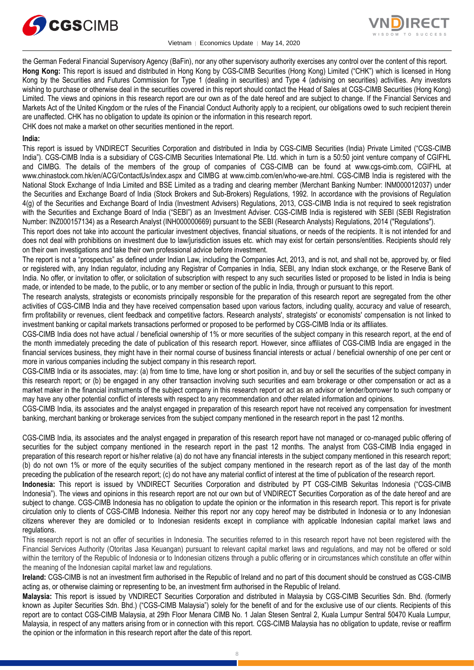

Vietnam │ Economics Update │ May 14, 2020



the German Federal Financial Supervisory Agency (BaFin), nor any other supervisory authority exercises any control over the content of this report. **Hong Kong:** This report is issued and distributed in Hong Kong by CGS-CIMB Securities (Hong Kong) Limited ("CHK") which is licensed in Hong Kong by the Securities and Futures Commission for Type 1 (dealing in securities) and Type 4 (advising on securities) activities. Any investors wishing to purchase or otherwise deal in the securities covered in this report should contact the Head of Sales at CGS-CIMB Securities (Hong Kong) Limited. The views and opinions in this research report are our own as of the date hereof and are subject to change. If the Financial Services and Markets Act of the United Kingdom or the rules of the Financial Conduct Authority apply to a recipient, our obligations owed to such recipient therein are unaffected. CHK has no obligation to update its opinion or the information in this research report.

CHK does not make a market on other securities mentioned in the report.

## **India:**

This report is issued by VNDIRECT Securities Corporation and distributed in India by CGS-CIMB Securities (India) Private Limited ("CGS-CIMB India"). CGS-CIMB India is a subsidiary of CGS-CIMB Securities International Pte. Ltd. which in turn is a 50:50 joint venture company of CGIFHL and CIMBG. The details of the members of the group of companies of CGS-CIMB can be found at www.cgs-cimb.com, CGIFHL at www.chinastock.com.hk/en/ACG/ContactUs/index.aspx and CIMBG at www.cimb.com/en/who-we-are.html. CGS-CIMB India is registered with the National Stock Exchange of India Limited and BSE Limited as a trading and clearing member (Merchant Banking Number: INM000012037) under the Securities and Exchange Board of India (Stock Brokers and Sub-Brokers) Regulations, 1992. In accordance with the provisions of Regulation 4(g) of the Securities and Exchange Board of India (Investment Advisers) Regulations, 2013, CGS-CIMB India is not required to seek registration with the Securities and Exchange Board of India ("SEBI") as an Investment Adviser. CGS-CIMB India is registered with SEBI (SEBI Registration Number: INZ000157134) as a Research Analyst (INH000000669) pursuant to the SEBI (Research Analysts) Regulations, 2014 ("Regulations").

This report does not take into account the particular investment objectives, financial situations, or needs of the recipients. It is not intended for and does not deal with prohibitions on investment due to law/jurisdiction issues etc. which may exist for certain persons/entities. Recipients should rely on their own investigations and take their own professional advice before investment.

The report is not a "prospectus" as defined under Indian Law, including the Companies Act, 2013, and is not, and shall not be, approved by, or filed or registered with, any Indian regulator, including any Registrar of Companies in India, SEBI, any Indian stock exchange, or the Reserve Bank of India. No offer, or invitation to offer, or solicitation of subscription with respect to any such securities listed or proposed to be listed in India is being made, or intended to be made, to the public, or to any member or section of the public in India, through or pursuant to this report.

The research analysts, strategists or economists principally responsible for the preparation of this research report are segregated from the other activities of CGS-CIMB India and they have received compensation based upon various factors, including quality, accuracy and value of research, firm profitability or revenues, client feedback and competitive factors. Research analysts', strategists' or economists' compensation is not linked to investment banking or capital markets transactions performed or proposed to be performed by CGS-CIMB India or its affiliates.

CGS-CIMB India does not have actual / beneficial ownership of 1% or more securities of the subject company in this research report, at the end of the month immediately preceding the date of publication of this research report. However, since affiliates of CGS-CIMB India are engaged in the financial services business, they might have in their normal course of business financial interests or actual / beneficial ownership of one per cent or more in various companies including the subject company in this research report.

CGS-CIMB India or its associates, may: (a) from time to time, have long or short position in, and buy or sell the securities of the subject company in this research report; or (b) be engaged in any other transaction involving such securities and earn brokerage or other compensation or act as a market maker in the financial instruments of the subject company in this research report or act as an advisor or lender/borrower to such company or may have any other potential conflict of interests with respect to any recommendation and other related information and opinions.

CGS-CIMB India, its associates and the analyst engaged in preparation of this research report have not received any compensation for investment banking, merchant banking or brokerage services from the subject company mentioned in the research report in the past 12 months.

CGS-CIMB India, its associates and the analyst engaged in preparation of this research report have not managed or co-managed public offering of securities for the subject company mentioned in the research report in the past 12 months. The analyst from CGS-CIMB India engaged in preparation of this research report or his/her relative (a) do not have any financial interests in the subject company mentioned in this research report; (b) do not own 1% or more of the equity securities of the subject company mentioned in the research report as of the last day of the month preceding the publication of the research report; (c) do not have any material conflict of interest at the time of publication of the research report.

**Indonesia:** This report is issued by VNDIRECT Securities Corporation and distributed by PT CGS-CIMB Sekuritas Indonesia ("CGS-CIMB Indonesia"). The views and opinions in this research report are not our own but of VNDIRECT Securities Corporation as of the date hereof and are subject to change. CGS-CIMB Indonesia has no obligation to update the opinion or the information in this research report. This report is for private circulation only to clients of CGS-CIMB Indonesia. Neither this report nor any copy hereof may be distributed in Indonesia or to any Indonesian citizens wherever they are domiciled or to Indonesian residents except in compliance with applicable Indonesian capital market laws and regulations.

This research report is not an offer of securities in Indonesia. The securities referred to in this research report have not been registered with the Financial Services Authority (Otoritas Jasa Keuangan) pursuant to relevant capital market laws and regulations, and may not be offered or sold within the territory of the Republic of Indonesia or to Indonesian citizens through a public offering or in circumstances which constitute an offer within the meaning of the Indonesian capital market law and regulations.

**Ireland:** CGS-CIMB is not an investment firm authorised in the Republic of Ireland and no part of this document should be construed as CGS-CIMB acting as, or otherwise claiming or representing to be, an investment firm authorised in the Republic of Ireland.

**Malaysia:** This report is issued by VNDIRECT Securities Corporation and distributed in Malaysia by CGS-CIMB Securities Sdn. Bhd. (formerly known as Jupiter Securities Sdn. Bhd.) ("CGS-CIMB Malaysia") solely for the benefit of and for the exclusive use of our clients. Recipients of this report are to contact CGS-CIMB Malaysia, at 29th Floor Menara CIMB No. 1 Jalan Stesen Sentral 2, Kuala Lumpur Sentral 50470 Kuala Lumpur, Malaysia, in respect of any matters arising from or in connection with this report. CGS-CIMB Malaysia has no obligation to update, revise or reaffirm the opinion or the information in this research report after the date of this report.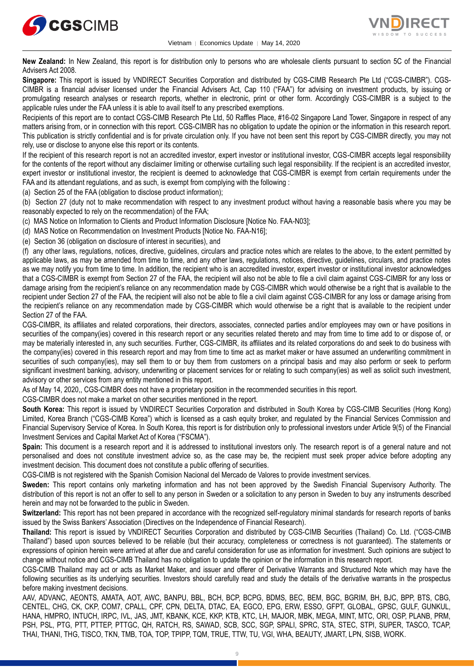



**New Zealand:** In New Zealand, this report is for distribution only to persons who are wholesale clients pursuant to section 5C of the Financial Advisers Act 2008.

**Singapore:** This report is issued by VNDIRECT Securities Corporation and distributed by CGS-CIMB Research Pte Ltd ("CGS-CIMBR"). CGS-CIMBR is a financial adviser licensed under the Financial Advisers Act, Cap 110 ("FAA") for advising on investment products, by issuing or promulgating research analyses or research reports, whether in electronic, print or other form. Accordingly CGS-CIMBR is a subject to the applicable rules under the FAA unless it is able to avail itself to any prescribed exemptions.

Recipients of this report are to contact CGS-CIMB Research Pte Ltd, 50 Raffles Place, #16-02 Singapore Land Tower, Singapore in respect of any matters arising from, or in connection with this report. CGS-CIMBR has no obligation to update the opinion or the information in this research report. This publication is strictly confidential and is for private circulation only. If you have not been sent this report by CGS-CIMBR directly, you may not rely, use or disclose to anyone else this report or its contents.

If the recipient of this research report is not an accredited investor, expert investor or institutional investor, CGS-CIMBR accepts legal responsibility for the contents of the report without any disclaimer limiting or otherwise curtailing such legal responsibility. If the recipient is an accredited investor, expert investor or institutional investor, the recipient is deemed to acknowledge that CGS-CIMBR is exempt from certain requirements under the FAA and its attendant regulations, and as such, is exempt from complying with the following :

(a) Section 25 of the FAA (obligation to disclose product information);

(b) Section 27 (duty not to make recommendation with respect to any investment product without having a reasonable basis where you may be reasonably expected to rely on the recommendation) of the FAA;

(c) MAS Notice on Information to Clients and Product Information Disclosure [Notice No. FAA-N03];

(d) MAS Notice on Recommendation on Investment Products [Notice No. FAA-N16];

(e) Section 36 (obligation on disclosure of interest in securities), and

(f) any other laws, regulations, notices, directive, guidelines, circulars and practice notes which are relates to the above, to the extent permitted by applicable laws, as may be amended from time to time, and any other laws, regulations, notices, directive, guidelines, circulars, and practice notes as we may notify you from time to time. In addition, the recipient who is an accredited investor, expert investor or institutional investor acknowledges that a CGS-CIMBR is exempt from Section 27 of the FAA, the recipient will also not be able to file a civil claim against CGS-CIMBR for any loss or damage arising from the recipient's reliance on any recommendation made by CGS-CIMBR which would otherwise be a right that is available to the recipient under Section 27 of the FAA, the recipient will also not be able to file a civil claim against CGS-CIMBR for any loss or damage arising from the recipient's reliance on any recommendation made by CGS-CIMBR which would otherwise be a right that is available to the recipient under Section 27 of the FAA.

CGS-CIMBR, its affiliates and related corporations, their directors, associates, connected parties and/or employees may own or have positions in securities of the company(ies) covered in this research report or any securities related thereto and may from time to time add to or dispose of, or may be materially interested in, any such securities. Further, CGS-CIMBR, its affiliates and its related corporations do and seek to do business with the company(ies) covered in this research report and may from time to time act as market maker or have assumed an underwriting commitment in securities of such company(ies), may sell them to or buy them from customers on a principal basis and may also perform or seek to perform significant investment banking, advisory, underwriting or placement services for or relating to such company(ies) as well as solicit such investment, advisory or other services from any entity mentioned in this report.

As of May 14, 2020,, CGS-CIMBR does not have a proprietary position in the recommended securities in this report.

CGS-CIMBR does not make a market on other securities mentioned in the report.

**South Korea:** This report is issued by VNDIRECT Securities Corporation and distributed in South Korea by CGS-CIMB Securities (Hong Kong) Limited, Korea Branch ("CGS-CIMB Korea") which is licensed as a cash equity broker, and regulated by the Financial Services Commission and Financial Supervisory Service of Korea. In South Korea, this report is for distribution only to professional investors under Article 9(5) of the Financial Investment Services and Capital Market Act of Korea ("FSCMA").

**Spain:** This document is a research report and it is addressed to institutional investors only. The research report is of a general nature and not personalised and does not constitute investment advice so, as the case may be, the recipient must seek proper advice before adopting any investment decision. This document does not constitute a public offering of securities.

CGS-CIMB is not registered with the Spanish Comision Nacional del Mercado de Valores to provide investment services.

**Sweden:** This report contains only marketing information and has not been approved by the Swedish Financial Supervisory Authority. The distribution of this report is not an offer to sell to any person in Sweden or a solicitation to any person in Sweden to buy any instruments described herein and may not be forwarded to the public in Sweden.

**Switzerland:** This report has not been prepared in accordance with the recognized self-regulatory minimal standards for research reports of banks issued by the Swiss Bankers' Association (Directives on the Independence of Financial Research).

**Thailand:** This report is issued by VNDIRECT Securities Corporation and distributed by CGS-CIMB Securities (Thailand) Co. Ltd. ("CGS-CIMB Thailand") based upon sources believed to be reliable (but their accuracy, completeness or correctness is not guaranteed). The statements or expressions of opinion herein were arrived at after due and careful consideration for use as information for investment. Such opinions are subject to change without notice and CGS-CIMB Thailand has no obligation to update the opinion or the information in this research report.

CGS-CIMB Thailand may act or acts as Market Maker, and issuer and offerer of Derivative Warrants and Structured Note which may have the following securities as its underlying securities. Investors should carefully read and study the details of the derivative warrants in the prospectus before making investment decisions.

AAV, ADVANC, AEONTS, AMATA, AOT, AWC, BANPU, BBL, BCH, BCP, BCPG, BDMS, BEC, BEM, BGC, BGRIM, BH, BJC, BPP, BTS, CBG, CENTEL, CHG, CK, CKP, COM7, CPALL, CPF, CPN, DELTA, DTAC, EA, EGCO, EPG, ERW, ESSO, GFPT, GLOBAL, GPSC, GULF, GUNKUL, HANA, HMPRO, INTUCH, IRPC, IVL, JAS, JMT, KBANK, KCE, KKP, KTB, KTC, LH, MAJOR, MBK, MEGA, MINT, MTC, ORI, OSP, PLANB, PRM, PSH, PSL, PTG, PTT, PTTEP, PTTGC, QH, RATCH, RS, SAWAD, SCB, SCC, SGP, SPALI, SPRC, STA, STEC, STPI, SUPER, TASCO, TCAP, THAI, THANI, THG, TISCO, TKN, TMB, TOA, TOP, TPIPP, TQM, TRUE, TTW, TU, VGI, WHA, BEAUTY, JMART, LPN, SISB, WORK.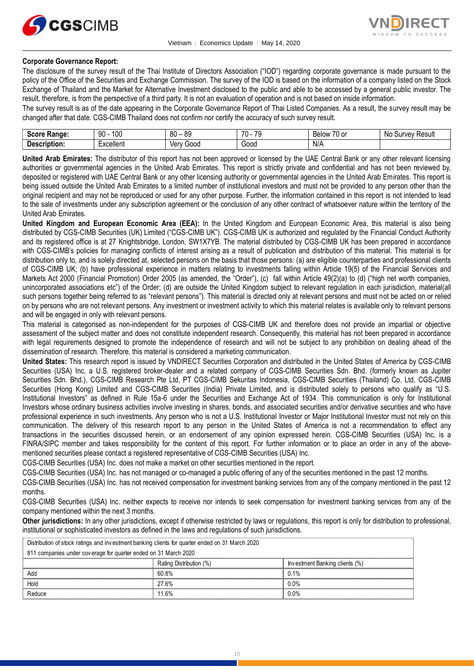



## **Corporate Governance Report:**

The disclosure of the survey result of the Thai Institute of Directors Association ("IOD") regarding corporate governance is made pursuant to the policy of the Office of the Securities and Exchange Commission. The survey of the IOD is based on the information of a company listed on the Stock Exchange of Thailand and the Market for Alternative Investment disclosed to the public and able to be accessed by a general public investor. The result, therefore, is from the perspective of a third party. It is not an evaluation of operation and is not based on inside information.

The survey result is as of the date appearing in the Corporate Governance Report of Thai Listed Companies. As a result, the survey result may be changed after that date. CGS-CIMB Thailand does not confirm nor certify the accuracy of such survey result.

| <b>Score</b><br>Range.         | 100<br>ഹ<br>IJΜ                             | 80<br>or<br>೦೮ | 70<br>$\overline{\phantom{a}}$<br>- 11<br>$\cdot$ | $\overline{\phantom{a}}$<br>-<br>ו הו<br><b>Below</b><br>ו טט | No<br>' Result<br><b>TVAV</b><br>u. |
|--------------------------------|---------------------------------------------|----------------|---------------------------------------------------|---------------------------------------------------------------|-------------------------------------|
| -<br>Descrip'<br>ription.<br>. | $\overline{\phantom{0}}$<br>'−xcellent<br>. | 000خ<br>Verv   | -<br>Good                                         | N/A                                                           |                                     |

**United Arab Emirates:** The distributor of this report has not been approved or licensed by the UAE Central Bank or any other relevant licensing authorities or governmental agencies in the United Arab Emirates. This report is strictly private and confidential and has not been reviewed by, deposited or registered with UAE Central Bank or any other licensing authority or governmental agencies in the United Arab Emirates. This report is being issued outside the United Arab Emirates to a limited number of institutional investors and must not be provided to any person other than the original recipient and may not be reproduced or used for any other purpose. Further, the information contained in this report is not intended to lead to the sale of investments under any subscription agreement or the conclusion of any other contract of whatsoever nature within the territory of the United Arab Emirates.

**United Kingdom and European Economic Area (EEA):** In the United Kingdom and European Economic Area, this material is also being distributed by CGS-CIMB Securities (UK) Limited ("CGS-CIMB UK"). CGS-CIMB UK is authorized and regulated by the Financial Conduct Authority and its registered office is at 27 Knightsbridge, London, SW1X7YB. The material distributed by CGS-CIMB UK has been prepared in accordance with CGS-CIMB's policies for managing conflicts of interest arising as a result of publication and distribution of this material. This material is for distribution only to, and is solely directed at, selected persons on the basis that those persons: (a) are eligible counterparties and professional clients of CGS-CIMB UK; (b) have professional experience in matters relating to investments falling within Article 19(5) of the Financial Services and Markets Act 2000 (Financial Promotion) Order 2005 (as amended, the "Order"), (c) fall within Article 49(2)(a) to (d) ("high net worth companies, unincorporated associations etc") of the Order; (d) are outside the United Kingdom subject to relevant regulation in each jurisdiction, material(all such persons together being referred to as "relevant persons"). This material is directed only at relevant persons and must not be acted on or relied on by persons who are not relevant persons. Any investment or investment activity to which this material relates is available only to relevant persons and will be engaged in only with relevant persons.

This material is categorised as non-independent for the purposes of CGS-CIMB UK and therefore does not provide an impartial or objective assessment of the subject matter and does not constitute independent research. Consequently, this material has not been prepared in accordance with legal requirements designed to promote the independence of research and will not be subject to any prohibition on dealing ahead of the dissemination of research. Therefore, this material is considered a marketing communication.

**United States:** This research report is issued by VNDIRECT Securities Corporation and distributed in the United States of America by CGS-CIMB Securities (USA) Inc, a U.S. registered broker-dealer and a related company of CGS-CIMB Securities Sdn. Bhd. (formerly known as Jupiter Securities Sdn. Bhd.), CGS-CIMB Research Pte Ltd, PT CGS-CIMB Sekuritas Indonesia, CGS-CIMB Securities (Thailand) Co. Ltd, CGS-CIMB Securities (Hong Kong) Limited and CGS-CIMB Securities (India) Private Limited, and is distributed solely to persons who qualify as "U.S. Institutional Investors" as defined in Rule 15a-6 under the Securities and Exchange Act of 1934. This communication is only for Institutional Investors whose ordinary business activities involve investing in shares, bonds, and associated securities and/or derivative securities and who have professional experience in such investments. Any person who is not a U.S. Institutional Investor or Major Institutional Investor must not rely on this communication. The delivery of this research report to any person in the United States of America is not a recommendation to effect any transactions in the securities discussed herein, or an endorsement of any opinion expressed herein. CGS-CIMB Securities (USA) Inc, is a FINRA/SIPC member and takes responsibility for the content of this report. For further information or to place an order in any of the abovementioned securities please contact a registered representative of CGS-CIMB Securities (USA) Inc.

CGS-CIMB Securities (USA) Inc. does not make a market on other securities mentioned in the report.

CGS-CIMB Securities (USA) Inc. has not managed or co-managed a public offering of any of the securities mentioned in the past 12 months.

CGS-CIMB Securities (USA) Inc. has not received compensation for investment banking services from any of the company mentioned in the past 12 months.

CGS-CIMB Securities (USA) Inc. neither expects to receive nor intends to seek compensation for investment banking services from any of the company mentioned within the next 3 months.

**Other jurisdictions:** In any other jurisdictions, except if otherwise restricted by laws or regulations, this report is only for distribution to professional, institutional or sophisticated investors as defined in the laws and regulations of such jurisdictions. by by the purisdictions: In any other jurisdictions, except if otherwise restricted by land stitutional or sophisticated investors as defined in the laws and regulations of such Distribution of stock ratings and investment

|                                                                                                 | <b>Other jurisdictions:</b> In any other jurisdictions, except if otherwise restricted by laws or regulations, this report is only for distribution to<br>institutional or sophisticated investors as defined in the laws and regulations of such jurisdictions. |                                |  |
|-------------------------------------------------------------------------------------------------|------------------------------------------------------------------------------------------------------------------------------------------------------------------------------------------------------------------------------------------------------------------|--------------------------------|--|
| Distribution of stock ratings and investment banking clients for quarter ended on 31 March 2020 |                                                                                                                                                                                                                                                                  |                                |  |
| 811 companies under coverage for quarter ended on 31 March 2020                                 |                                                                                                                                                                                                                                                                  |                                |  |
|                                                                                                 | Rating Distribution (%)                                                                                                                                                                                                                                          | Investment Banking clients (%) |  |
| Add                                                                                             | 60.8%                                                                                                                                                                                                                                                            | 0.1%                           |  |
| Hold                                                                                            | 27.6%                                                                                                                                                                                                                                                            | $0.0\%$                        |  |
| Reduce                                                                                          | 11 6 <sup>%</sup>                                                                                                                                                                                                                                                | $0.0\%$                        |  |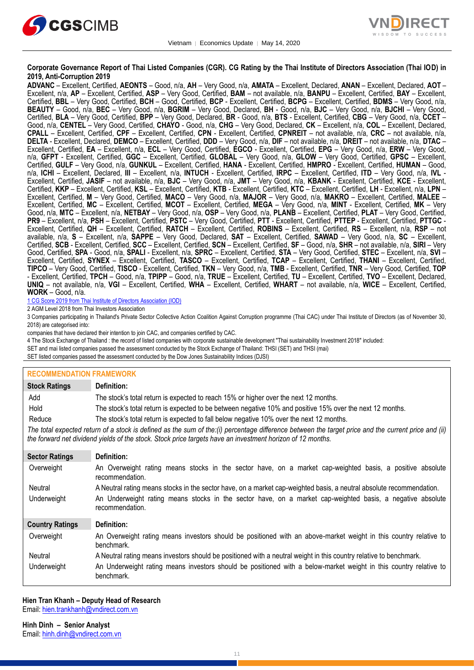



### **Corporate Governance Report of Thai Listed Companies (CGR). CG Rating by the Thai Institute of Directors Association (Thai IOD) in 2019, Anti-Corruption 2019**

**ADVANC** – Excellent, Certified, **AEONTS** – Good, n/a, **AH** – Very Good, n/a, **AMATA** – Excellent, Declared, **ANAN** – Excellent, Declared, **AOT** – Excellent, n/a, **AP** – Excellent, Certified, **ASP** – Very Good, Certified, **BAM** – not available, n/a, **BANPU** – Excellent, Certified, **BAY** – Excellent, Certified, **BBL** – Very Good, Certified, **BCH** – Good, Certified, **BCP** - Excellent, Certified, **BCPG** – Excellent, Certified, **BDMS** – Very Good, n/a, **BEAUTY** – Good, n/a, **BEC** – Very Good, n/a, **BGRIM** – Very Good, Declared, **BH** - Good, n/a, **BJC** – Very Good, n/a, **BJCHI** – Very Good, Certified, **BLA** – Very Good, Certified, **BPP** – Very Good, Declared, **BR** - Good, n/a, **BTS** - Excellent, Certified, **CBG** – Very Good, n/a, **CCET** – Good, n/a, **CENTEL** – Very Good, Certified, **CHAYO** - Good, n/a, **CHG** – Very Good, Declared, **CK** – Excellent, n/a, **COL** – Excellent, Declared, **CPALL** – Excellent, Certified, **CPF** – Excellent, Certified, **CPN** - Excellent, Certified, **CPNREIT** – not available, n/a, **CRC** – not available, n/a, **DELTA** - Excellent, Declared, **DEMCO** – Excellent, Certified, **DDD** – Very Good, n/a, **DIF** – not available, n/a, **DREIT** – not available, n/a, **DTAC** – Excellent, Certified, **EA** – Excellent, n/a, **ECL** – Very Good, Certified, **EGCO** - Excellent, Certified, **EPG** – Very Good, n/a, **ERW** – Very Good, n/a, **GFPT** - Excellent, Certified, **GGC** – Excellent, Certified, **GLOBAL** – Very Good, n/a, **GLOW** – Very Good, Certified, **GPSC** – Excellent, Certified, **GULF** – Very Good, n/a, **GUNKUL** – Excellent, Certified, **HANA** - Excellent, Certified, **HMPRO** - Excellent, Certified, **HUMAN** – Good, n/a, **ICHI** – Excellent, Declared, **III** – Excellent, n/a, **INTUCH** - Excellent, Certified, **IRPC** – Excellent, Certified, **ITD** – Very Good, n/a, **IVL** - Excellent, Certified, **JASIF** – not available, n/a, **BJC** – Very Good, n/a, **JMT** – Very Good, n/a, **KBANK** - Excellent, Certified, **KCE** - Excellent, Certified, **KKP** – Excellent, Certified, **KSL** – Excellent, Certified, **KTB** - Excellent, Certified, **KTC** – Excellent, Certified, **LH** - Excellent, n/a, **LPN** – Excellent, Certified, **M** – Very Good, Certified, **MACO** – Very Good, n/a, **MAJOR** – Very Good, n/a, **MAKRO** – Excellent, Certified, **MALEE** – Excellent, Certified, **MC** – Excellent, Certified, **MCOT** – Excellent, Certified, **MEGA** – Very Good, n/a, **MINT** - Excellent, Certified, **MK** – Very Good, n/a, **MTC** – Excellent, n/a, **NETBAY** – Very Good, n/a, **OSP** – Very Good, n/a, **PLANB** – Excellent, Certified, **PLAT** – Very Good, Certified, **PR9** – Excellent, n/a, **PSH** – Excellent, Certified, **PSTC** – Very Good, Certified, **PTT** - Excellent, Certified, **PTTEP** - Excellent, Certified, **PTTGC** - Excellent, Certified, **QH** – Excellent, Certified, **RATCH** – Excellent, Certified, **ROBINS** – Excellent, Certified, **RS** – Excellent, n/a, **RSP** – not available, n/a, **S** – Excellent, n/a, **SAPPE** – Very Good, Declared, **SAT** – Excellent, Certified, **SAWAD** – Very Good, n/a, **SC** – Excellent, Certified, **SCB** - Excellent, Certified, **SCC** – Excellent, Certified, **SCN** – Excellent, Certified, **SF** – Good, n/a, **SHR** – not available, n/a, **SIRI** – Very Good, Certified, **SPA** - Good, n/a, **SPALI** - Excellent, n/a, **SPRC** – Excellent, Certified, **STA** – Very Good, Certified, **STEC** – Excellent, n/a, **SVI** – Excellent, Certified, **SYNEX** – Excellent, Certified, **TASCO** – Excellent, Certified, **TCAP** – Excellent, Certified, **THANI** – Excellent, Certified, **TIPCO** – Very Good, Certified, **TISCO** - Excellent, Certified, **TKN** – Very Good, n/a, **TMB** - Excellent, Certified, **TNR** – Very Good, Certified, **TOP** - Excellent, Certified, **TPCH** – Good, n/a, **TPIPP** – Good, n/a, **TRUE** – Excellent, Certified, **TU** – Excellent, Certified, **TVO** – Excellent, Declared, **UNIQ** – not available, n/a, **VGI** – Excellent, Certified, **WHA** – Excellent, Certified, **WHART** – not available, n/a, **WICE** – Excellent, Certified, **WORK** – Good, n/a.

1 CG Score 2019 from Thai Institute of Directors Association (IOD)

2 AGM Level 2018 from Thai Investors Association

3 Companies participating in Thailand's Private Sector Collective Action Coalition Against Corruption programme (Thai CAC) under Thai Institute of Directors (as of November 30, 2018) are categorised into:

companies that have declared their intention to join CAC, and companies certified by CAC.

4 [The Stock Exchange of Thailand : the record of listed companies with corporate sustainable development "Thai sustainability Investment 2018" included:](http://www.set.or.th/sustainable_dev/en/sr/sri/tsi_p1.html)

SET and mai listed companies passed the assessment conducted by the Stock Exchange of Thailand: THSI (SET) and THSI (mai)

SET listed companies passed the assessment conducted by the Dow Jones Sustainability Indices (DJSI)

#### **RECOMMENDATION FRAMEWORK**

| <b>Stock Ratings</b>   | Definition:                                                                                                                                                                                                                                                       |
|------------------------|-------------------------------------------------------------------------------------------------------------------------------------------------------------------------------------------------------------------------------------------------------------------|
| Add                    | The stock's total return is expected to reach 15% or higher over the next 12 months.                                                                                                                                                                              |
| Hold                   | The stock's total return is expected to be between negative 10% and positive 15% over the next 12 months.                                                                                                                                                         |
| Reduce                 | The stock's total return is expected to fall below negative 10% over the next 12 months.                                                                                                                                                                          |
|                        | The total expected return of a stock is defined as the sum of the:(i) percentage difference between the target price and the current price and (ii)<br>the forward net dividend yields of the stock. Stock price targets have an investment horizon of 12 months. |
| <b>Sector Ratings</b>  | Definition:                                                                                                                                                                                                                                                       |
| Overweight             | An Overweight rating means stocks in the sector have, on a market cap-weighted basis, a positive absolute<br>recommendation.                                                                                                                                      |
| Neutral                | A Neutral rating means stocks in the sector have, on a market cap-weighted basis, a neutral absolute recommendation.                                                                                                                                              |
| Underweight            | An Underweight rating means stocks in the sector have, on a market cap-weighted basis, a negative absolute<br>recommendation.                                                                                                                                     |
| <b>Country Ratings</b> | Definition:                                                                                                                                                                                                                                                       |
| Overweight             | An Overweight rating means investors should be positioned with an above-market weight in this country relative to<br>benchmark.                                                                                                                                   |
| Neutral                | A Neutral rating means investors should be positioned with a neutral weight in this country relative to benchmark.                                                                                                                                                |
| Underweight            | An Underweight rating means investors should be positioned with a below-market weight in this country relative to<br>benchmark.                                                                                                                                   |

#### **Hien Tran Khanh – Deputy Head of Research** Email: [hien.trankhanh@vndirect.com.vn](mailto:hien.trankhanh@vndirect.com.vn)

**Hinh Dinh – Senior Analyst** Email: [hinh.dinh@vndirect.com.vn](mailto:hinh.dinh@vndirect.com.vn)